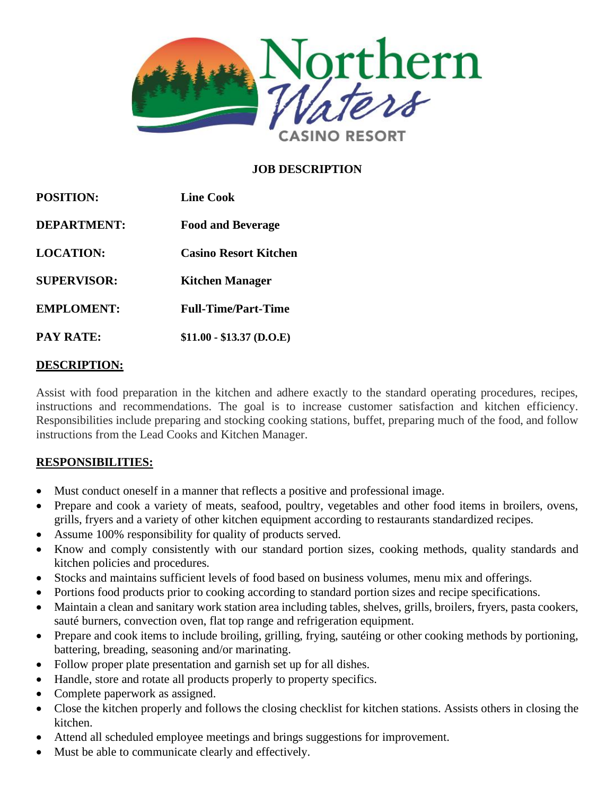

### **JOB DESCRIPTION**

| <b>POSITION:</b><br><b>DEPARTMENT:</b><br><b>LOCATION:</b><br><b>SUPERVISOR:</b><br><b>EMPLOMENT:</b><br><b>PAY RATE:</b> | <b>Line Cook</b><br><b>Food and Beverage</b><br><b>Casino Resort Kitchen</b><br><b>Kitchen Manager</b><br><b>Full-Time/Part-Time</b><br>$$11.00 - $13.37$ (D.O.E) |
|---------------------------------------------------------------------------------------------------------------------------|-------------------------------------------------------------------------------------------------------------------------------------------------------------------|
|---------------------------------------------------------------------------------------------------------------------------|-------------------------------------------------------------------------------------------------------------------------------------------------------------------|

#### **DESCRIPTION:**

Assist with food preparation in the kitchen and adhere exactly to the standard operating procedures, recipes, instructions and recommendations. The goal is to increase customer satisfaction and kitchen efficiency. Responsibilities include preparing and stocking cooking stations, buffet, preparing much of the food, and follow instructions from the Lead Cooks and Kitchen Manager.

#### **RESPONSIBILITIES:**

- Must conduct oneself in a manner that reflects a positive and professional image.
- Prepare and cook a variety of meats, seafood, poultry, vegetables and other food items in broilers, ovens, grills, fryers and a variety of other kitchen equipment according to restaurants standardized recipes.
- Assume 100% responsibility for quality of products served.
- Know and comply consistently with our standard portion sizes, cooking methods, quality standards and kitchen policies and procedures.
- Stocks and maintains sufficient levels of food based on business volumes, menu mix and offerings.
- Portions food products prior to cooking according to standard portion sizes and recipe specifications.
- Maintain a clean and sanitary work station area including tables, shelves, grills, broilers, fryers, pasta cookers, sauté burners, convection oven, flat top range and refrigeration equipment.
- Prepare and cook items to include broiling, grilling, frying, sautéing or other cooking methods by portioning, battering, breading, seasoning and/or marinating.
- Follow proper plate presentation and garnish set up for all dishes.
- Handle, store and rotate all products properly to property specifics.
- Complete paperwork as assigned.
- Close the kitchen properly and follows the closing checklist for kitchen stations. Assists others in closing the kitchen.
- Attend all scheduled employee meetings and brings suggestions for improvement.
- Must be able to communicate clearly and effectively.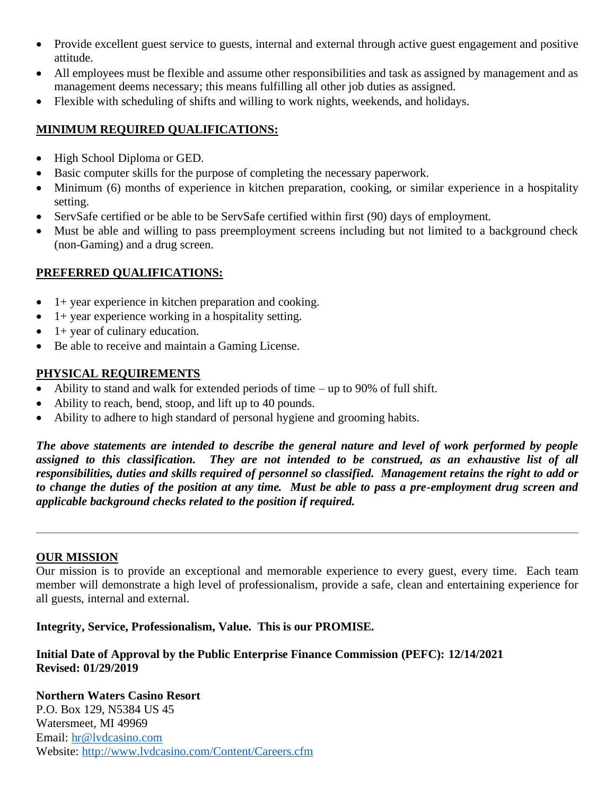- Provide excellent guest service to guests, internal and external through active guest engagement and positive attitude.
- All employees must be flexible and assume other responsibilities and task as assigned by management and as management deems necessary; this means fulfilling all other job duties as assigned.
- Flexible with scheduling of shifts and willing to work nights, weekends, and holidays.

# **MINIMUM REQUIRED QUALIFICATIONS:**

- High School Diploma or GED.
- Basic computer skills for the purpose of completing the necessary paperwork.
- Minimum (6) months of experience in kitchen preparation, cooking, or similar experience in a hospitality setting.
- ServSafe certified or be able to be ServSafe certified within first (90) days of employment.
- Must be able and willing to pass preemployment screens including but not limited to a background check (non-Gaming) and a drug screen.

## **PREFERRED QUALIFICATIONS:**

- $\bullet$  1+ year experience in kitchen preparation and cooking.
- $\bullet$  1+ year experience working in a hospitality setting.
- $\bullet$  1+ year of culinary education.
- Be able to receive and maintain a Gaming License.

## **PHYSICAL REQUIREMENTS**

- Ability to stand and walk for extended periods of time up to 90% of full shift.
- Ability to reach, bend, stoop, and lift up to 40 pounds.
- Ability to adhere to high standard of personal hygiene and grooming habits.

*The above statements are intended to describe the general nature and level of work performed by people assigned to this classification. They are not intended to be construed, as an exhaustive list of all responsibilities, duties and skills required of personnel so classified. Management retains the right to add or to change the duties of the position at any time. Must be able to pass a pre-employment drug screen and applicable background checks related to the position if required.*

### **OUR MISSION**

Our mission is to provide an exceptional and memorable experience to every guest, every time. Each team member will demonstrate a high level of professionalism, provide a safe, clean and entertaining experience for all guests, internal and external.

**Integrity, Service, Professionalism, Value. This is our PROMISE.**

### **Initial Date of Approval by the Public Enterprise Finance Commission (PEFC): 12/14/2021 Revised: 01/29/2019**

**Northern Waters Casino Resort** P.O. Box 129, N5384 US 45 Watersmeet, MI 49969 Email: [hr@lvdcasino.com](mailto:hr@lvdcasino.com) Website:<http://www.lvdcasino.com/Content/Careers.cfm>